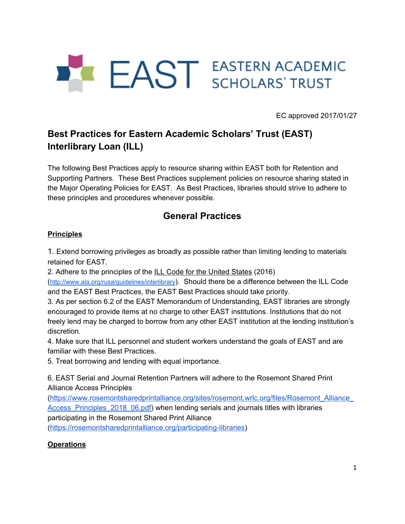

EC approved 2017/01/27

# **Best Practices for Eastern Academic Scholars' Trust (EAST) Interlibrary Loan (ILL)**

The following Best Practices apply to resource sharing within EAST both for Retention and Supporting Partners. These Best Practices supplement policies on resource sharing stated in the Major Operating Policies for EAST. As Best Practices, libraries should strive to adhere to these principles and procedures whenever possible.

# **General Practices**

## **Principles**

1. Extend borrowing privileges as broadly as possible rather than limiting lending to materials retained for EAST.

2. Adhere to the principles of the ILL Code for the [United](http://www.ala.org/rusa/sites/ala.org.rusa/files/content/sections/stars/resources/ILL%20Code%20with%20Supplement.pdf) States (2016)

(<http://www.ala.org/rusa/guidelines/interlibrary>). Should there be a difference between the ILL Code and the EAST Best Practices, the EAST Best Practices should take priority.

3. As per section 6.2 of the EAST Memorandum of Understanding, EAST libraries are strongly encouraged to provide items at no charge to other EAST institutions. Institutions that do not freely lend may be charged to borrow from any other EAST institution at the lending institution's discretion.

4. Make sure that ILL personnel and student workers understand the goals of EAST and are familiar with these Best Practices.

5. Treat borrowing and lending with equal importance.

6. EAST Serial and Journal Retention Partners will adhere to the Rosemont Shared Print Alliance Access Principles

([https://www.rosemontsharedprintalliance.org/sites/rosemont.wrlc.org/files/Rosemont\\_Alliance\\_](https://www.rosemontsharedprintalliance.org/sites/rosemont.wrlc.org/files/Rosemont_Alliance_Access_Principles_2018_06.pdf) [Access\\_Principles\\_2018\\_06.pdf\)](https://www.rosemontsharedprintalliance.org/sites/rosemont.wrlc.org/files/Rosemont_Alliance_Access_Principles_2018_06.pdf) when lending serials and journals titles with libraries participating in the Rosemont Shared Print Alliance

(<https://rosemontsharedprintalliance.org/participating-libraries>)

### **Operations**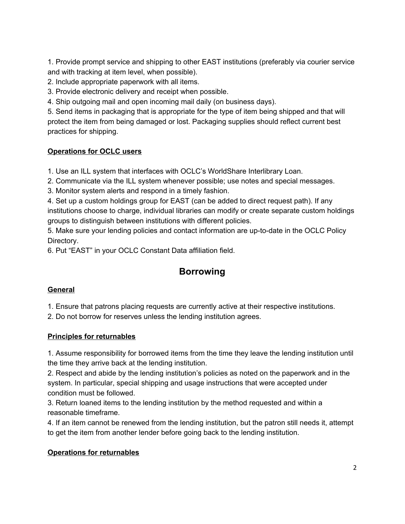1. Provide prompt service and shipping to other EAST institutions (preferably via courier service and with tracking at item level, when possible).

2. Include appropriate paperwork with all items.

3. Provide electronic delivery and receipt when possible.

4. Ship outgoing mail and open incoming mail daily (on business days).

5. Send items in packaging that is appropriate for the type of item being shipped and that will protect the item from being damaged or lost. Packaging supplies should reflect current best practices for shipping.

## **Operations for OCLC users**

1. Use an ILL system that interfaces with OCLC's WorldShare Interlibrary Loan.

2. Communicate via the ILL system whenever possible; use notes and special messages.

3. Monitor system alerts and respond in a timely fashion.

4. Set up a custom holdings group for EAST (can be added to direct request path). If any institutions choose to charge, individual libraries can modify or create separate custom holdings groups to distinguish between institutions with different policies.

5. Make sure your lending policies and contact information are up-to-date in the OCLC Policy Directory.

6. Put "EAST" in your OCLC Constant Data affiliation field.

# **Borrowing**

### **General**

1. Ensure that patrons placing requests are currently active at their respective institutions.

2. Do not borrow for reserves unless the lending institution agrees.

### **Principles for returnables**

1. Assume responsibility for borrowed items from the time they leave the lending institution until the time they arrive back at the lending institution.

2. Respect and abide by the lending institution's policies as noted on the paperwork and in the system. In particular, special shipping and usage instructions that were accepted under condition must be followed.

3. Return loaned items to the lending institution by the method requested and within a reasonable timeframe.

4. If an item cannot be renewed from the lending institution, but the patron still needs it, attempt to get the item from another lender before going back to the lending institution.

## **Operations for returnables**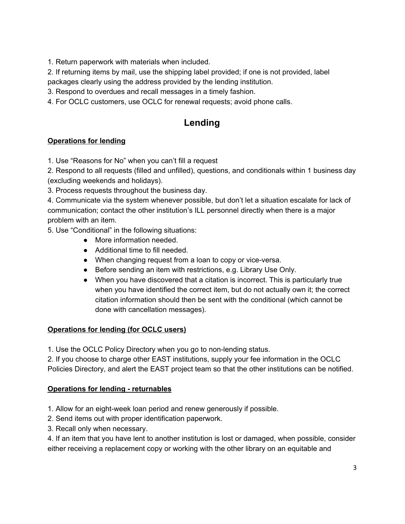1. Return paperwork with materials when included.

2. If returning items by mail, use the shipping label provided; if one is not provided, label packages clearly using the address provided by the lending institution.

3. Respond to overdues and recall messages in a timely fashion.

4. For OCLC customers, use OCLC for renewal requests; avoid phone calls.

# **Lending**

## **Operations for lending**

1. Use "Reasons for No" when you can't fill a request

2. Respond to all requests (filled and unfilled), questions, and conditionals within 1 business day (excluding weekends and holidays).

3. Process requests throughout the business day.

4. Communicate via the system whenever possible, but don't let a situation escalate for lack of communication; contact the other institution's ILL personnel directly when there is a major problem with an item.

5. Use "Conditional" in the following situations:

- More information needed.
- Additional time to fill needed.
- When changing request from a loan to copy or vice-versa.
- Before sending an item with restrictions, e.g. Library Use Only.
- When you have discovered that a citation is incorrect. This is particularly true when you have identified the correct item, but do not actually own it; the correct citation information should then be sent with the conditional (which cannot be done with cancellation messages).

### **Operations for lending (for OCLC users)**

1. Use the OCLC Policy Directory when you go to non-lending status.

2. If you choose to charge other EAST institutions, supply your fee information in the OCLC Policies Directory, and alert the EAST project team so that the other institutions can be notified.

### **Operations for lending - returnables**

1. Allow for an eight-week loan period and renew generously if possible.

- 2. Send items out with proper identification paperwork.
- 3. Recall only when necessary.

4. If an item that you have lent to another institution is lost or damaged, when possible, consider either receiving a replacement copy or working with the other library on an equitable and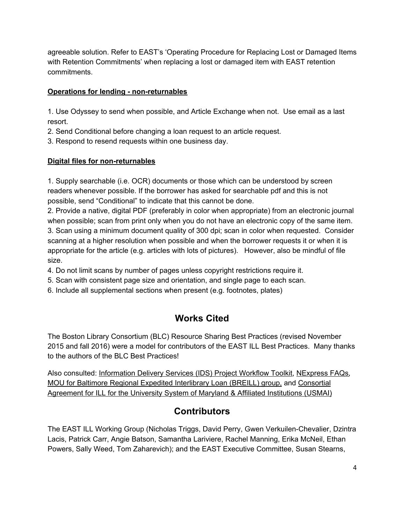agreeable solution. Refer to EAST's 'Operating Procedure for Replacing Lost or Damaged Items with Retention Commitments' when replacing a lost or damaged item with EAST retention commitments.

## **Operations for lending - non-returnables**

1. Use Odyssey to send when possible, and Article Exchange when not. Use email as a last resort.

2. Send Conditional before changing a loan request to an article request.

3. Respond to resend requests within one business day.

## **Digital files for non-returnables**

1. Supply searchable (i.e. OCR) documents or those which can be understood by screen readers whenever possible. If the borrower has asked for searchable pdf and this is not possible, send "Conditional" to indicate that this cannot be done.

2. Provide a native, digital PDF (preferably in color when appropriate) from an electronic journal when possible; scan from print only when you do not have an electronic copy of the same item. 3. Scan using a minimum document quality of 300 dpi; scan in color when requested. Consider scanning at a higher resolution when possible and when the borrower requests it or when it is appropriate for the article (e.g. articles with lots of pictures). However, also be mindful of file size.

4. Do not limit scans by number of pages unless copyright restrictions require it.

5. Scan with consistent page size and orientation, and single page to each scan.

6. Include all supplemental sections when present (e.g. footnotes, plates)

# **Works Cited**

The Boston Library Consortium (BLC) Resource Sharing Best Practices (revised November 2015 and fall 2016) were a model for contributors of the EAST ILL Best Practices. Many thanks to the authors of the BLC Best Practices!

Also consulted: [Information](https://docs.google.com/a/blc.org/viewer?a=v&pid=sites&srcid=YmxjLm9yZ3xlYXN0LWlsbC13b3JraW5nLWdyb3VwfGd4OjYxMGY0OWNkMzYyMzY2OWY) Delivery Services (IDS) Project Workflow Toolkit, [NExpress](http://nexpress.iii.com/screens/faqs.html) FAQs, MOU for Baltimore Regional Expedited [Interlibrary](https://docs.google.com/a/blc.org/viewer?a=v&pid=sites&srcid=YmxjLm9yZ3xlYXN0LWlsbC13b3JraW5nLWdyb3VwfGd4OjU3ZjhhNzc1MjA5OWJhNjU) Loan (BREILL) group, and [Consortial](https://docs.google.com/a/blc.org/viewer?a=v&pid=sites&srcid=YmxjLm9yZ3xlYXN0LWlsbC13b3JraW5nLWdyb3VwfGd4OjZjM2ZlZDZmMTdkZDM2YzA) [Agreement](https://docs.google.com/a/blc.org/viewer?a=v&pid=sites&srcid=YmxjLm9yZ3xlYXN0LWlsbC13b3JraW5nLWdyb3VwfGd4OjZjM2ZlZDZmMTdkZDM2YzA) for ILL for the University System of Maryland & Affiliated Institutions (USMAI)

## **Contributors**

The EAST ILL Working Group (Nicholas Triggs, David Perry, Gwen Verkuilen-Chevalier, Dzintra Lacis, Patrick Carr, Angie Batson, Samantha Lariviere, Rachel Manning, Erika McNeil, Ethan Powers, Sally Weed, Tom Zaharevich); and the EAST Executive Committee, Susan Stearns,